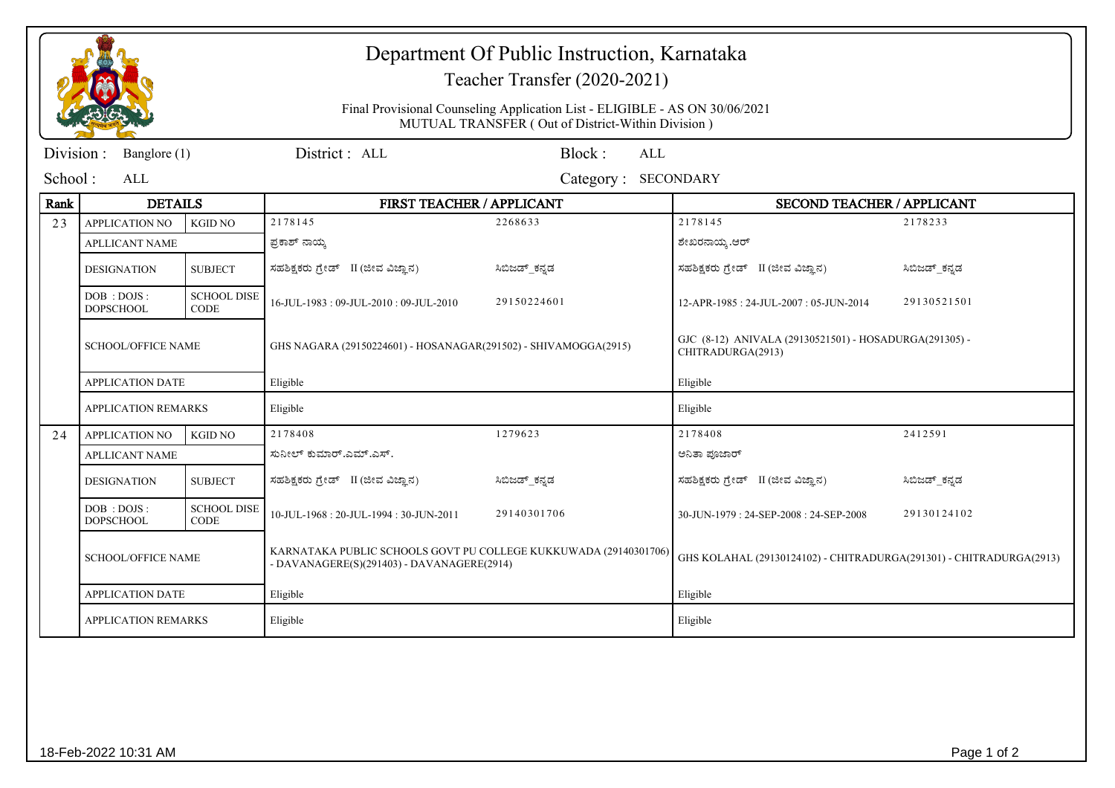|                           |                                                                                              |                                   | Department Of Public Instruction, Karnataka<br>Teacher Transfer (2020-2021)<br>Final Provisional Counseling Application List - ELIGIBLE - AS ON 30/06/2021<br>MUTUAL TRANSFER (Out of District-Within Division) |               |                                                                     |               |  |  |
|---------------------------|----------------------------------------------------------------------------------------------|-----------------------------------|-----------------------------------------------------------------------------------------------------------------------------------------------------------------------------------------------------------------|---------------|---------------------------------------------------------------------|---------------|--|--|
|                           |                                                                                              |                                   |                                                                                                                                                                                                                 |               |                                                                     |               |  |  |
| Division:<br>Banglore (1) |                                                                                              |                                   | District: ALL<br>Block:<br>ALL                                                                                                                                                                                  |               |                                                                     |               |  |  |
| School:                   | ALL                                                                                          |                                   | <b>SECONDARY</b><br>Category:                                                                                                                                                                                   |               |                                                                     |               |  |  |
| Rank                      | <b>DETAILS</b>                                                                               |                                   | FIRST TEACHER / APPLICANT                                                                                                                                                                                       |               | <b>SECOND TEACHER / APPLICANT</b>                                   |               |  |  |
| 23                        | <b>APPLICATION NO</b>                                                                        | <b>KGID NO</b>                    | 2178145                                                                                                                                                                                                         | 2268633       | 2178145                                                             | 2178233       |  |  |
|                           | <b>APLLICANT NAME</b>                                                                        |                                   | ಪ್ರಕಾಶ್ ನಾಯ್ಕ                                                                                                                                                                                                   |               | ಶೇಖರನಾಯ್ಕ .ಆರ್                                                      |               |  |  |
|                           | <b>DESIGNATION</b>                                                                           | <b>SUBJECT</b>                    | ಸಹಶಿಕ್ಷಕರು ಗ್ರೇಡ್ II (ಜೀವ ವಿಜ್ಞಾನ)                                                                                                                                                                              | ಸಿಬಿಜಡ್ ಕನ್ನಡ | ಸಹಶಿಕ್ಷಕರು ಗ್ರೇಡ್ II (ಜೀವ ವಿಜ್ಞಾನ)                                  | ಸಿಬಿಜಡ್ ಕನ್ನಡ |  |  |
|                           | DOB : DOJS :<br><b>DOPSCHOOL</b>                                                             | <b>SCHOOL DISE</b><br><b>CODE</b> | 16-JUL-1983: 09-JUL-2010: 09-JUL-2010                                                                                                                                                                           | 29150224601   | 12-APR-1985: 24-JUL-2007: 05-JUN-2014                               | 29130521501   |  |  |
|                           | <b>SCHOOL/OFFICE NAME</b><br>GHS NAGARA (29150224601) - HOSANAGAR(291502) - SHIVAMOGGA(2915) |                                   | GJC (8-12) ANIVALA (29130521501) - HOSADURGA(291305) -<br>CHITRADURGA(2913)                                                                                                                                     |               |                                                                     |               |  |  |
|                           | <b>APPLICATION DATE</b>                                                                      |                                   | Eligible                                                                                                                                                                                                        |               | Eligible                                                            |               |  |  |
|                           | <b>APPLICATION REMARKS</b>                                                                   |                                   | Eligible                                                                                                                                                                                                        |               | Eligible                                                            |               |  |  |
| 24                        | <b>APPLICATION NO</b>                                                                        | <b>KGID NO</b>                    | 2178408                                                                                                                                                                                                         | 1279623       | 2178408                                                             | 2412591       |  |  |
|                           | <b>APLLICANT NAME</b>                                                                        |                                   | ಸುನೀಲ್ ಕುಮಾರ್.ಎಮ್.ಎಸ್.                                                                                                                                                                                          |               | ಅನಿತಾ ಪೂಜಾರ್                                                        |               |  |  |
|                           | <b>DESIGNATION</b>                                                                           | <b>SUBJECT</b>                    | ಸಹಶಿಕ್ಷಕರು ಗ್ರೇಡ್ II (ಜೀವ ವಿಜ್ಞಾನ)                                                                                                                                                                              | ಸಿಬಿಜಡ್_ಕನ್ನಡ | ಸಹಶಿಕ್ಷಕರು ಗ್ರೇಡ್ II (ಜೀವ ವಿಜ್ಞಾನ)                                  | ಸಿಬಿಜಡ್_ಕನ್ನಡ |  |  |
|                           | DOB: DOJS:<br><b>DOPSCHOOL</b>                                                               | <b>SCHOOL DISE</b><br><b>CODE</b> | 10-JUL-1968: 20-JUL-1994: 30-JUN-2011                                                                                                                                                                           | 29140301706   | 30-JUN-1979: 24-SEP-2008: 24-SEP-2008                               | 29130124102   |  |  |
|                           | <b>SCHOOL/OFFICE NAME</b>                                                                    |                                   | KARNATAKA PUBLIC SCHOOLS GOVT PU COLLEGE KUKKUWADA (29140301706)<br>- DAVANAGERE(S)(291403) - DAVANAGERE(2914)                                                                                                  |               | GHS KOLAHAL (29130124102) - CHITRADURGA(291301) - CHITRADURGA(2913) |               |  |  |
|                           | <b>APPLICATION DATE</b><br><b>APPLICATION REMARKS</b>                                        |                                   | Eligible                                                                                                                                                                                                        |               | Eligible                                                            |               |  |  |
|                           |                                                                                              |                                   | Eligible                                                                                                                                                                                                        |               | Eligible                                                            |               |  |  |
|                           |                                                                                              |                                   |                                                                                                                                                                                                                 |               |                                                                     |               |  |  |